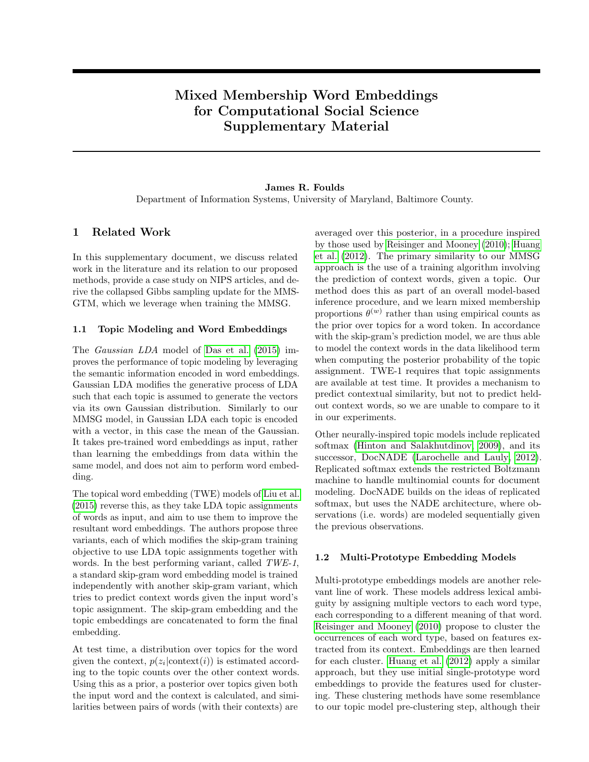# Mixed Membership Word Embeddings for Computational Social Science Supplementary Material

### James R. Foulds Department of Information Systems, University of Maryland, Baltimore County.

## 1 Related Work

In this supplementary document, we discuss related work in the literature and its relation to our proposed methods, provide a case study on NIPS articles, and derive the collapsed Gibbs sampling update for the MMS-GTM, which we leverage when training the MMSG.

#### 1.1 Topic Modeling and Word Embeddings

The Gaussian LDA model of [Das et al. \(2015\)](#page-3-0) improves the performance of topic modeling by leveraging the semantic information encoded in word embeddings. Gaussian LDA modifies the generative process of LDA such that each topic is assumed to generate the vectors via its own Gaussian distribution. Similarly to our MMSG model, in Gaussian LDA each topic is encoded with a vector, in this case the mean of the Gaussian. It takes pre-trained word embeddings as input, rather than learning the embeddings from data within the same model, and does not aim to perform word embedding.

The topical word embedding (TWE) models of [Liu et al.](#page-3-1) [\(2015\)](#page-3-1) reverse this, as they take LDA topic assignments of words as input, and aim to use them to improve the resultant word embeddings. The authors propose three variants, each of which modifies the skip-gram training objective to use LDA topic assignments together with words. In the best performing variant, called TWE-1, a standard skip-gram word embedding model is trained independently with another skip-gram variant, which tries to predict context words given the input word's topic assignment. The skip-gram embedding and the topic embeddings are concatenated to form the final embedding.

At test time, a distribution over topics for the word given the context,  $p(z_i | \text{context}(i))$  is estimated according to the topic counts over the other context words. Using this as a prior, a posterior over topics given both the input word and the context is calculated, and similarities between pairs of words (with their contexts) are

averaged over this posterior, in a procedure inspired by those used by [Reisinger and Mooney \(2010\)](#page-3-2); [Huang](#page-3-3) [et al. \(2012\)](#page-3-3). The primary similarity to our MMSG approach is the use of a training algorithm involving the prediction of context words, given a topic. Our method does this as part of an overall model-based inference procedure, and we learn mixed membership proportions  $\theta^{(w)}$  rather than using empirical counts as the prior over topics for a word token. In accordance with the skip-gram's prediction model, we are thus able to model the context words in the data likelihood term when computing the posterior probability of the topic assignment. TWE-1 requires that topic assignments are available at test time. It provides a mechanism to predict contextual similarity, but not to predict heldout context words, so we are unable to compare to it in our experiments.

Other neurally-inspired topic models include replicated softmax [\(Hinton and Salakhutdinov, 2009\)](#page-3-4), and its successor, DocNADE [\(Larochelle and Lauly, 2012\)](#page-3-5). Replicated softmax extends the restricted Boltzmann machine to handle multinomial counts for document modeling. DocNADE builds on the ideas of replicated softmax, but uses the NADE architecture, where observations (i.e. words) are modeled sequentially given the previous observations.

#### 1.2 Multi-Prototype Embedding Models

Multi-prototype embeddings models are another relevant line of work. These models address lexical ambiguity by assigning multiple vectors to each word type, each corresponding to a different meaning of that word. [Reisinger and Mooney \(2010\)](#page-3-2) propose to cluster the occurrences of each word type, based on features extracted from its context. Embeddings are then learned for each cluster. [Huang et al. \(2012\)](#page-3-3) apply a similar approach, but they use initial single-prototype word embeddings to provide the features used for clustering. These clustering methods have some resemblance to our topic model pre-clustering step, although their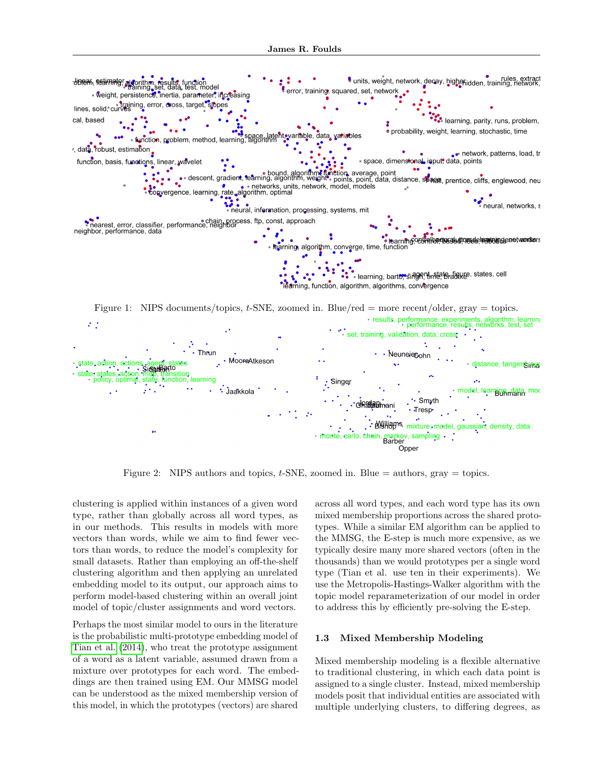

Opper

<span id="page-1-0"></span>Figure 2: NIPS authors and topics,  $t$ -SNE, zoomed in. Blue  $=$  authors, gray  $=$  topics.

<span id="page-1-1"></span>clustering is applied within instances of a given word type, rather than globally across all word types, as in our methods. This results in models with more vectors than words, while we aim to find fewer vectors than words, to reduce the model's complexity for small datasets. Rather than employing an off-the-shelf clustering algorithm and then applying an unrelated embedding model to its output, our approach aims to perform model-based clustering within an overall joint model of topic/cluster assignments and word vectors.

Perhaps the most similar model to ours in the literature is the probabilistic multi-prototype embedding model of [Tian et al. \(2014\)](#page-4-0), who treat the prototype assignment of a word as a latent variable, assumed drawn from a mixture over prototypes for each word. The embeddings are then trained using EM. Our MMSG model can be understood as the mixed membership version of this model, in which the prototypes (vectors) are shared

across all word types, and each word type has its own mixed membership proportions across the shared prototypes. While a similar EM algorithm can be applied to the MMSG, the E-step is much more expensive, as we typically desire many more shared vectors (often in the thousands) than we would prototypes per a single word type (Tian et al. use ten in their experiments). We use the Metropolis-Hastings-Walker algorithm with the topic model reparameterization of our model in order to address this by efficiently pre-solving the E-step.

#### 1.3 Mixed Membership Modeling

Mixed membership modeling is a flexible alternative to traditional clustering, in which each data point is assigned to a single cluster. Instead, mixed membership models posit that individual entities are associated with multiple underlying clusters, to differing degrees, as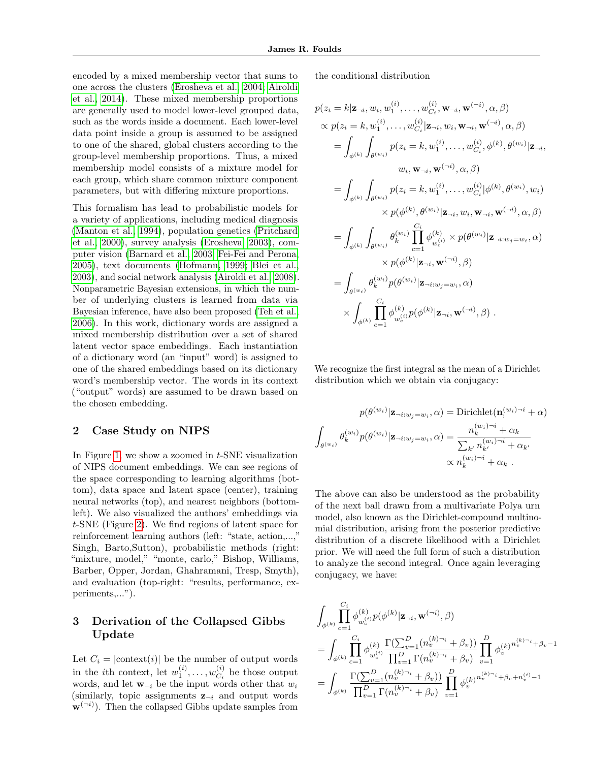encoded by a mixed membership vector that sums to one across the clusters [\(Erosheva et al., 2004;](#page-3-6) [Airoldi](#page-3-7) [et al., 2014\)](#page-3-7). These mixed membership proportions are generally used to model lower-level grouped data, such as the words inside a document. Each lower-level data point inside a group is assumed to be assigned to one of the shared, global clusters according to the group-level membership proportions. Thus, a mixed membership model consists of a mixture model for each group, which share common mixture component parameters, but with differing mixture proportions.

This formalism has lead to probabilistic models for a variety of applications, including medical diagnosis [\(Manton et al., 1994\)](#page-3-8), population genetics [\(Pritchard](#page-3-9) [et al., 2000\)](#page-3-9), survey analysis [\(Erosheva, 2003\)](#page-3-10), computer vision [\(Barnard et al., 2003;](#page-3-11) [Fei-Fei and Perona,](#page-3-12) [2005\)](#page-3-12), text documents [\(Hofmann, 1999;](#page-3-13) [Blei et al.,](#page-3-14) [2003\)](#page-3-14), and social network analysis [\(Airoldi et al., 2008\)](#page-3-15). Nonparametric Bayesian extensions, in which the number of underlying clusters is learned from data via Bayesian inference, have also been proposed [\(Teh et al.,](#page-3-16) [2006\)](#page-3-16). In this work, dictionary words are assigned a mixed membership distribution over a set of shared latent vector space embeddings. Each instantiation of a dictionary word (an "input" word) is assigned to one of the shared embeddings based on its dictionary word's membership vector. The words in its context ("output" words) are assumed to be drawn based on the chosen embedding.

### 2 Case Study on NIPS

In Figure [1,](#page-1-0) we show a zoomed in  $t$ -SNE visualization of NIPS document embeddings. We can see regions of the space corresponding to learning algorithms (bottom), data space and latent space (center), training neural networks (top), and nearest neighbors (bottomleft). We also visualized the authors' embeddings via t-SNE (Figure [2\)](#page-1-1). We find regions of latent space for reinforcement learning authors (left: "state, action,...," Singh, Barto,Sutton), probabilistic methods (right: "mixture, model," "monte, carlo," Bishop, Williams, Barber, Opper, Jordan, Ghahramani, Tresp, Smyth), and evaluation (top-right: "results, performance, experiments,...").

# 3 Derivation of the Collapsed Gibbs Update

Let  $C_i = |\text{context}(i)|$  be the number of output words in the *i*th context, let  $w_1^{(i)}, \ldots, w_{C_i}^{(i)}$  $C_i^{(i)}$  be those output words, and let  $\mathbf{w}_{\neg i}$  be the input words other that  $w_i$ (similarly, topic assignments  $z_{\neg i}$  and output words  $\mathbf{w}^{(\neg i)}$ ). Then the collapsed Gibbs update samples from the conditional distribution

$$
p(z_i = k | \mathbf{z}_{\neg i}, w_i, w_1^{(i)}, \dots, w_{C_i}^{(i)}, \mathbf{w}_{\neg i}, \mathbf{w}^{(\neg i)}, \alpha, \beta)
$$
  
\n
$$
\propto p(z_i = k, w_1^{(i)}, \dots, w_{C_i}^{(i)} | \mathbf{z}_{\neg i}, w_i, \mathbf{w}_{\neg i}, \mathbf{w}^{(\neg i)}, \alpha, \beta)
$$
  
\n
$$
= \int_{\phi^{(k)}} \int_{\theta^{(w_i)}} p(z_i = k, w_1^{(i)}, \dots, w_{C_i}^{(i)}, \phi^{(k)}, \theta^{(w_i)} | \mathbf{z}_{\neg i},
$$
  
\n
$$
w_i, \mathbf{w}_{\neg i}, \mathbf{w}^{(\neg i)}, \alpha, \beta)
$$
  
\n
$$
= \int_{\phi^{(k)}} \int_{\theta^{(w_i)}} p(z_i = k, w_1^{(i)}, \dots, w_{C_i}^{(i)} | \phi^{(k)}, \theta^{(w_i)}, w_i)
$$
  
\n
$$
\times p(\phi^{(k)}, \theta^{(w_i)} | \mathbf{z}_{\neg i}, w_i, \mathbf{w}_{\neg i}, \mathbf{w}^{(\neg i)}, \alpha, \beta)
$$
  
\n
$$
= \int_{\phi^{(k)}} \int_{\theta^{(w_i)}} \theta_k^{(w_i)} \prod_{c=1}^{C_i} \phi_{w_c}^{(k)} \times p(\theta^{(w_i)} | \mathbf{z}_{\neg i : w_j = w_i}, \alpha)
$$
  
\n
$$
\times p(\phi^{(k)} | \mathbf{z}_{\neg i}, \mathbf{w}^{(\neg i)}, \beta)
$$
  
\n
$$
= \int_{\theta^{(w_i)}} \theta_k^{(w_i)} p(\theta^{(w_i)} | \mathbf{z}_{\neg i : w_j = w_i}, \alpha)
$$
  
\n
$$
\times \int_{\phi^{(k)}} \prod_{c=1}^{C_i} \phi_{w_c}^{(k)} p(\phi^{(k)} | \mathbf{z}_{\neg i}, \mathbf{w}^{(\neg i)}, \beta).
$$

We recognize the first integral as the mean of a Dirichlet distribution which we obtain via conjugacy:

$$
p(\theta^{(w_i)}|\mathbf{z}_{\neg i:w_j=w_i}, \alpha) = \text{Dirichlet}(\mathbf{n}_i^{(w_i)\neg i} + \alpha)
$$

$$
\int_{\theta^{(w_i)}} \theta_k^{(w_i)} p(\theta^{(w_i)}|\mathbf{z}_{\neg i:w_j=w_i}, \alpha) = \frac{n_k^{(w_i)\neg i} + \alpha_k}{\sum_{k'} n_{k'}^{(w_i)\neg i} + \alpha_k}
$$

$$
\propto n_k^{(w_i)\neg i} + \alpha_k.
$$

The above can also be understood as the probability of the next ball drawn from a multivariate Polya urn model, also known as the Dirichlet-compound multinomial distribution, arising from the posterior predictive distribution of a discrete likelihood with a Dirichlet prior. We will need the full form of such a distribution to analyze the second integral. Once again leveraging conjugacy, we have:

$$
\begin{aligned} &\int_{\phi^{(k)}} \prod_{c=1}^{C_i} \phi_{w_c^{(i)}}^{(k)} p(\phi^{(k)} | \mathbf{z}_{\neg i}, \mathbf{w}^{(\neg i)}, \beta) \\ &= \int_{\phi^{(k)}} \prod_{c=1}^{C_i} \phi_{w_c^{(i)}}^{(k)} \frac{\Gamma(\sum_{v=1}^D (n_v^{(k)\neg i} + \beta_v))}{\prod_{v=1}^D \Gamma(n_v^{(k)\neg i} + \beta_v)} \prod_{v=1}^D \phi_v^{(k)}^{n_v^{(k)\neg i} + \beta_v - 1} \\ &= \int_{\phi^{(k)}} \frac{\Gamma(\sum_{v=1}^D (n_v^{(k)\neg i} + \beta_v))}{\prod_{v=1}^D \Gamma(n_v^{(k)\neg i} + \beta_v)} \prod_{v=1}^D \phi_v^{(k)}^{n_v^{(k)\neg i} + \beta_v + n_v^{(i)} - 1} \end{aligned}
$$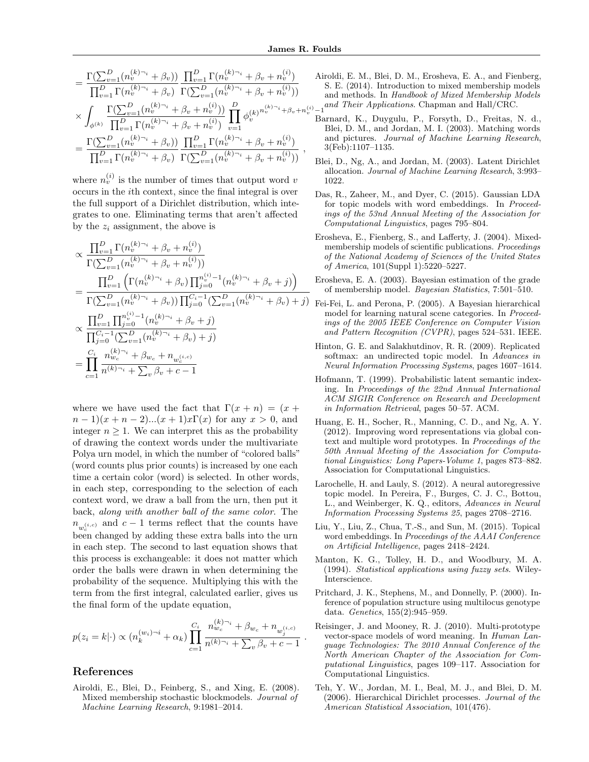$$
= \frac{\Gamma(\sum_{v=1}^{D} (n_v^{(k)} \gamma_i + \beta_v))}{\prod_{v=1}^{D} \Gamma(n_v^{(k)} \gamma_i + \beta_v) \Gamma(\sum_{v=1}^{D} (n_v^{(k)} \gamma_i + \beta_v + n_v^{(i)}))}
$$
  

$$
\times \int_{\phi^{(k)}} \frac{\Gamma(\sum_{v=1}^{D} (n_v^{(k)} \gamma_i + \beta_v + n_v^{(i)}))}{\prod_{v=1}^{D} \Gamma(n_v^{(k)} \gamma_i + \beta_v + n_v^{(i)})} \prod_{v=1}^{D} \phi_v^{(k)} \gamma_v^{(k)} \gamma_v^{(k)} + \beta_v + n_v^{(i)}
$$
  

$$
= \frac{\Gamma(\sum_{v=1}^{D} (n_v^{(k)} \gamma_i + \beta_v))}{\prod_{v=1}^{D} \Gamma(n_v^{(k)} \gamma_i + \beta_v)} \frac{\prod_{v=1}^{D} \Gamma(n_v^{(k)} \gamma_v + \beta_v + n_v^{(i)})}{\Gamma(\sum_{v=1}^{D} (n_v^{(k)} \gamma_i + \beta_v + n_v^{(i)}))},
$$

where  $n_v^{(i)}$  is the number of times that output word v occurs in the ith context, since the final integral is over the full support of a Dirichlet distribution, which integrates to one. Eliminating terms that aren't affected by the  $z_i$  assignment, the above is

$$
\propto \frac{\prod_{v=1}^{D} \Gamma(n_v^{(k)\neg_i} + \beta_v + n_v^{(i)})}{\Gamma(\sum_{v=1}^{D} (n_v^{(k)\neg_i} + \beta_v + n_v^{(i)}))}
$$
\n
$$
= \frac{\prod_{v=1}^{D} \left( \Gamma(n_v^{(k)\neg_i} + \beta_v) \prod_{j=0}^{n_v^{(i)}-1} (n_v^{(k)\neg_i} + \beta_v + j) \right)}{\Gamma(\sum_{v=1}^{D} (n_v^{(k)\neg_i} + \beta_v)) \prod_{j=0}^{C_i-1} (\sum_{v=1}^{D} (n_v^{(k)\neg_i} + \beta_v + j)}
$$
\n
$$
\propto \frac{\prod_{v=1}^{D} \prod_{j=0}^{n_v^{(i)}-1} (n_v^{(k)\neg_i} + \beta_v + j)}{\prod_{j=0}^{C_i-1} (\sum_{v=1}^{D} (n_v^{(k)\neg_i} + \beta_v) + j)}
$$
\n
$$
= \prod_{c=1}^{C_i} \frac{n_{w_c}^{(k)\neg_i} + \beta_{w_c} + n_{w_c}^{(i,c)}}{n^{(k)\neg_i} + \sum_{v} \beta_v + c - 1}
$$

<span id="page-3-13"></span><span id="page-3-4"></span>where we have used the fact that  $\Gamma(x+n) = (x +$  $(n-1)(x+n-2)...(x+1)x\Gamma(x)$  for any  $x>0$ , and integer  $n \geq 1$ . We can interpret this as the probability of drawing the context words under the multivariate Polya urn model, in which the number of "colored balls" (word counts plus prior counts) is increased by one each time a certain color (word) is selected. In other words, in each step, corresponding to the selection of each context word, we draw a ball from the urn, then put it back, along with another ball of the same color. The  $n_{w_c^{(i,c)}}$  and  $c-1$  terms reflect that the counts have  $w_c^{\omega_c}$  changed by adding these extra balls into the urn in each step. The second to last equation shows that this process is exchangeable: it does not matter which order the balls were drawn in when determining the probability of the sequence. Multiplying this with the term from the first integral, calculated earlier, gives us the final form of the update equation,

$$
p(z_i = k | \cdot) \propto (n_k^{(w_i)\neg i} + \alpha_k) \prod_{c=1}^{C_i} \frac{n_{w_c}^{(k)\neg i} + \beta_{w_c} + n_{w_j^{(i,c)}}}{n^{(k)\neg i} + \sum_{v} \beta_v + c - 1}
$$

<span id="page-3-16"></span><span id="page-3-9"></span><span id="page-3-8"></span><span id="page-3-5"></span><span id="page-3-3"></span><span id="page-3-2"></span><span id="page-3-1"></span>.

### References

<span id="page-3-15"></span>Airoldi, E., Blei, D., Feinberg, S., and Xing, E. (2008). Mixed membership stochastic blockmodels. Journal of Machine Learning Research, 9:1981–2014.

- <span id="page-3-14"></span><span id="page-3-12"></span><span id="page-3-11"></span><span id="page-3-10"></span><span id="page-3-7"></span><span id="page-3-6"></span><span id="page-3-0"></span> $\binom{ii}{v}-1$  and Their Applications. Chapman and Hall/CRC. Airoldi, E. M., Blei, D. M., Erosheva, E. A., and Fienberg, S. E. (2014). Introduction to mixed membership models and methods. In Handbook of Mixed Membership Models
	- Barnard, K., Duygulu, P., Forsyth, D., Freitas, N. d., Blei, D. M., and Jordan, M. I. (2003). Matching words and pictures. Journal of Machine Learning Research, 3(Feb):1107–1135.
	- Blei, D., Ng, A., and Jordan, M. (2003). Latent Dirichlet allocation. Journal of Machine Learning Research, 3:993– 1022.
	- Das, R., Zaheer, M., and Dyer, C. (2015). Gaussian LDA for topic models with word embeddings. In Proceedings of the 53nd Annual Meeting of the Association for Computational Linguistics, pages 795–804.
	- Erosheva, E., Fienberg, S., and Lafferty, J. (2004). Mixedmembership models of scientific publications. Proceedings of the National Academy of Sciences of the United States of America, 101(Suppl 1):5220–5227.
	- Erosheva, E. A. (2003). Bayesian estimation of the grade of membership model. Bayesian Statistics, 7:501–510.
	- Fei-Fei, L. and Perona, P. (2005). A Bayesian hierarchical model for learning natural scene categories. In Proceedings of the 2005 IEEE Conference on Computer Vision and Pattern Recognition (CVPR), pages 524–531. IEEE.
	- Hinton, G. E. and Salakhutdinov, R. R. (2009). Replicated softmax: an undirected topic model. In Advances in Neural Information Processing Systems, pages 1607–1614.
	- Hofmann, T. (1999). Probabilistic latent semantic indexing. In Proceedings of the 22nd Annual International ACM SIGIR Conference on Research and Development in Information Retrieval, pages 50–57. ACM.
	- Huang, E. H., Socher, R., Manning, C. D., and Ng, A. Y. (2012). Improving word representations via global context and multiple word prototypes. In Proceedings of the 50th Annual Meeting of the Association for Computational Linguistics: Long Papers-Volume 1, pages 873–882. Association for Computational Linguistics.
	- Larochelle, H. and Lauly, S. (2012). A neural autoregressive topic model. In Pereira, F., Burges, C. J. C., Bottou, L., and Weinberger, K. Q., editors, Advances in Neural Information Processing Systems 25, pages 2708–2716.
	- Liu, Y., Liu, Z., Chua, T.-S., and Sun, M. (2015). Topical word embeddings. In Proceedings of the AAAI Conference on Artificial Intelligence, pages 2418–2424.
	- Manton, K. G., Tolley, H. D., and Woodbury, M. A. (1994). Statistical applications using fuzzy sets. Wiley-Interscience.
	- Pritchard, J. K., Stephens, M., and Donnelly, P. (2000). Inference of population structure using multilocus genotype data. Genetics, 155(2):945–959.
	- Reisinger, J. and Mooney, R. J. (2010). Multi-prototype vector-space models of word meaning. In Human Language Technologies: The 2010 Annual Conference of the North American Chapter of the Association for Computational Linguistics, pages 109–117. Association for Computational Linguistics.
	- Teh, Y. W., Jordan, M. I., Beal, M. J., and Blei, D. M. (2006). Hierarchical Dirichlet processes. Journal of the American Statistical Association, 101(476).